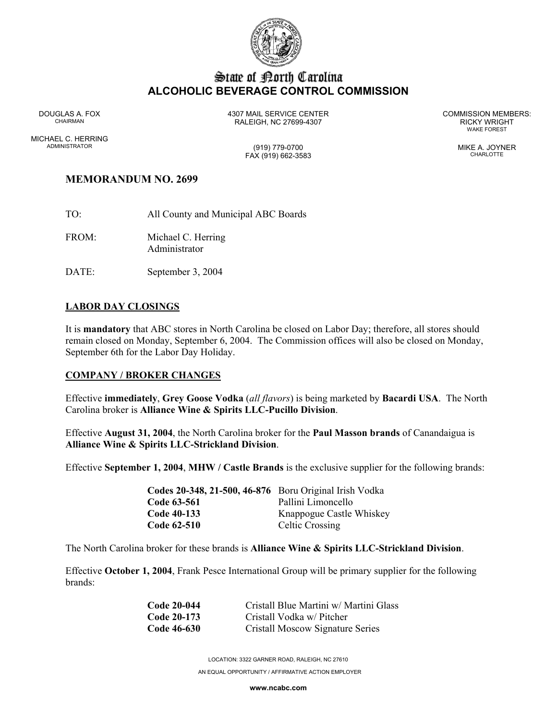

# State of Borth Carolina **ALCOHOLIC BEVERAGE CONTROL COMMISSION**

MICHAEL C. HERRING ADMINISTRATOR (919) 779-0700 MIKE A. JOYNER

DOUGLAS A. FOX 4307 MAIL SERVICE CENTER COMMISSION MEMBERS: CHAIRMAN RALEIGH, NC 27699-4307 RICKY WRIGHT

WAKE FOREST

FAX (919) 662-3583 CHARLOTTE

## **MEMORANDUM NO. 2699**

- TO: All County and Municipal ABC Boards
- FROM: Michael C. Herring Administrator
- DATE: September 3, 2004

## **LABOR DAY CLOSINGS**

It is **mandatory** that ABC stores in North Carolina be closed on Labor Day; therefore, all stores should remain closed on Monday, September 6, 2004. The Commission offices will also be closed on Monday, September 6th for the Labor Day Holiday.

#### **COMPANY / BROKER CHANGES**

Effective **immediately**, **Grey Goose Vodka** (*all flavors*) is being marketed by **Bacardi USA**. The North Carolina broker is **Alliance Wine & Spirits LLC-Pucillo Division**.

Effective **August 31, 2004**, the North Carolina broker for the **Paul Masson brands** of Canandaigua is **Alliance Wine & Spirits LLC-Strickland Division**.

Effective **September 1, 2004**, **MHW / Castle Brands** is the exclusive supplier for the following brands:

| Codes 20-348, 21-500, 46-876 Boru Original Irish Vodka |                          |
|--------------------------------------------------------|--------------------------|
| Code 63-561                                            | Pallini Limoncello       |
| Code 40-133                                            | Knappogue Castle Whiskey |
| Code 62-510                                            | <b>Celtic Crossing</b>   |

The North Carolina broker for these brands is **Alliance Wine & Spirits LLC-Strickland Division**.

Effective **October 1, 2004**, Frank Pesce International Group will be primary supplier for the following brands:

| Code 20-044 | Cristall Blue Martini w/ Martini Glass |
|-------------|----------------------------------------|
| Code 20-173 | Cristall Vodka w/ Pitcher              |
| Code 46-630 | Cristall Moscow Signature Series       |

LOCATION: 3322 GARNER ROAD, RALEIGH, NC 27610 AN EQUAL OPPORTUNITY / AFFIRMATIVE ACTION EMPLOYER

**www.ncabc.com**